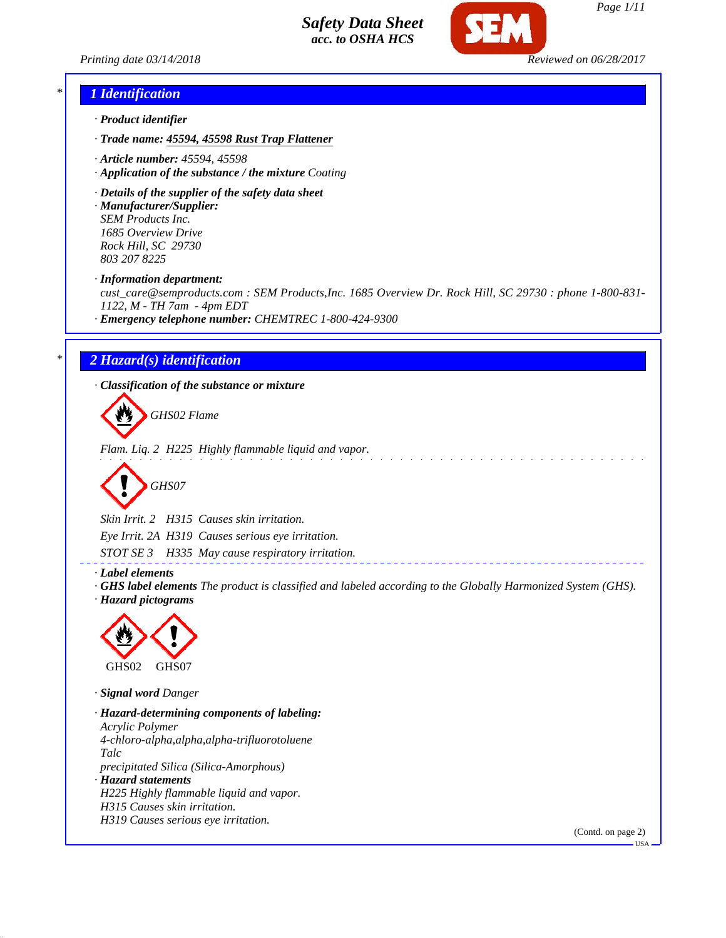



## *\* 1 Identification*

- *· Product identifier*
- *· Trade name: 45594, 45598 Rust Trap Flattener*
- *· Article number: 45594, 45598*
- *· Application of the substance / the mixture Coating*
- *· Details of the supplier of the safety data sheet*
- *· Manufacturer/Supplier: SEM Products Inc. 1685 Overview Drive Rock Hill, SC 29730 803 207 8225*
- *· Information department:*

*cust\_care@semproducts.com : SEM Products,Inc. 1685 Overview Dr. Rock Hill, SC 29730 : phone 1-800-831- 1122, M - TH 7am - 4pm EDT*

*· Emergency telephone number: CHEMTREC 1-800-424-9300*

## *\* 2 Hazard(s) identification*

*· Classification of the substance or mixture*

*GHS02 Flame*

*Flam. Liq. 2 H225 Highly flammable liquid and vapor.*

$$
\bigotimes \text{GHSO7}
$$

*Skin Irrit. 2 H315 Causes skin irritation. Eye Irrit. 2A H319 Causes serious eye irritation. STOT SE 3 H335 May cause respiratory irritation.*

*· Label elements*

*· GHS label elements The product is classified and labeled according to the Globally Harmonized System (GHS). · Hazard pictograms*



*· Signal word Danger*

*· Hazard-determining components of labeling: Acrylic Polymer 4-chloro-alpha,alpha,alpha-trifluorotoluene Talc precipitated Silica (Silica-Amorphous) · Hazard statements H225 Highly flammable liquid and vapor. H315 Causes skin irritation. H319 Causes serious eye irritation.*

(Contd. on page 2)

USA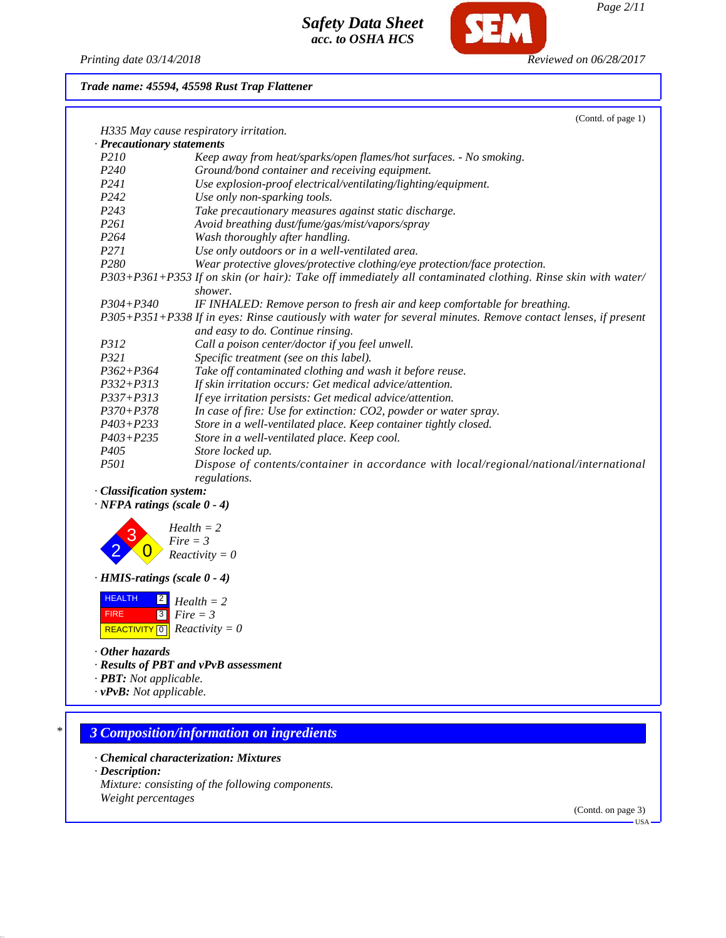*Printing date 03/14/2018 Reviewed on 06/28/2017*

**SEM** 

## *Trade name: 45594, 45598 Rust Trap Flattener*

|                                    | (Contd. of page 1)                                                                                                                                 |
|------------------------------------|----------------------------------------------------------------------------------------------------------------------------------------------------|
|                                    | H335 May cause respiratory irritation.                                                                                                             |
| · Precautionary statements         |                                                                                                                                                    |
| <i>P210</i>                        | Keep away from heat/sparks/open flames/hot surfaces. - No smoking.                                                                                 |
| P <sub>240</sub>                   | Ground/bond container and receiving equipment.                                                                                                     |
| P241                               | Use explosion-proof electrical/ventilating/lighting/equipment.                                                                                     |
| P <sub>242</sub>                   | Use only non-sparking tools.                                                                                                                       |
| P <sub>243</sub>                   | Take precautionary measures against static discharge.                                                                                              |
| P <sub>261</sub>                   | Avoid breathing dust/fume/gas/mist/vapors/spray                                                                                                    |
| P <sub>264</sub>                   | Wash thoroughly after handling.                                                                                                                    |
| P271                               | Use only outdoors or in a well-ventilated area.                                                                                                    |
| P <sub>280</sub>                   | Wear protective gloves/protective clothing/eye protection/face protection.                                                                         |
|                                    | P303+P361+P353 If on skin (or hair): Take off immediately all contaminated clothing. Rinse skin with water/<br>shower.                             |
| $P304 + P340$                      | IF INHALED: Remove person to fresh air and keep comfortable for breathing.                                                                         |
|                                    | P305+P351+P338 If in eyes: Rinse cautiously with water for several minutes. Remove contact lenses, if present<br>and easy to do. Continue rinsing. |
| <i>P312</i>                        | Call a poison center/doctor if you feel unwell.                                                                                                    |
| P321                               | Specific treatment (see on this label).                                                                                                            |
| $P362 + P364$                      | Take off contaminated clothing and wash it before reuse.                                                                                           |
| $P332 + P313$                      | If skin irritation occurs: Get medical advice/attention.                                                                                           |
| $P337 + P313$                      | If eye irritation persists: Get medical advice/attention.                                                                                          |
| $P370 + P378$                      | In case of fire: Use for extinction: CO2, powder or water spray.                                                                                   |
| $P403 + P233$                      | Store in a well-ventilated place. Keep container tightly closed.                                                                                   |
| $P403 + P235$                      | Store in a well-ventilated place. Keep cool.                                                                                                       |
| P <sub>405</sub>                   | Store locked up.                                                                                                                                   |
| <i>P501</i>                        | Dispose of contents/container in accordance with local/regional/national/international<br>regulations.                                             |
| · Classification system:           |                                                                                                                                                    |
| $\cdot$ NFPA ratings (scale 0 - 4) |                                                                                                                                                    |
|                                    | $Health = 2$<br>$Fire = 3$<br>$Reactivity = 0$                                                                                                     |

*· HMIS-ratings (scale 0 - 4)*

| <b>HEALTH</b> | $\boxed{2}$ Health = 2                       |
|---------------|----------------------------------------------|
| <b>FIRE</b>   | $ 3 $ Fire $=$ 3                             |
|               | REACTIVITY $\boxed{0}$ <i>Reactivity</i> = 0 |

*· Other hazards*

*· Results of PBT and vPvB assessment*

*· PBT: Not applicable.*

*· vPvB: Not applicable.*

# *\* 3 Composition/information on ingredients*

- *· Chemical characterization: Mixtures*
- *· Description:*

*Mixture: consisting of the following components. Weight percentages*

(Contd. on page 3)

USA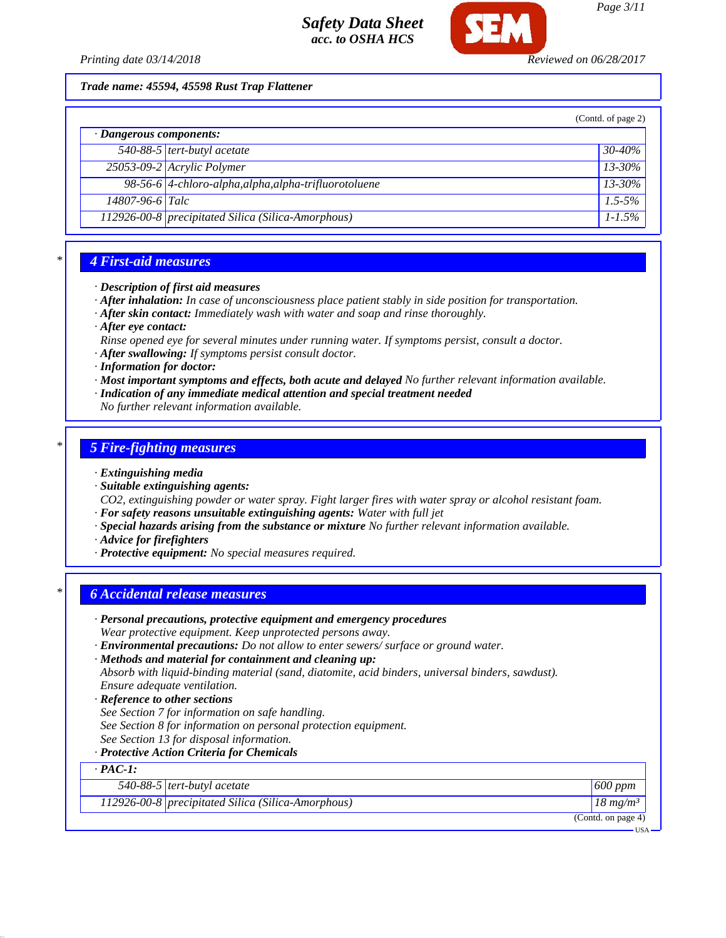

*Trade name: 45594, 45598 Rust Trap Flattener*

|                               |                                                       | (Contd. of page 2) |
|-------------------------------|-------------------------------------------------------|--------------------|
| $\cdot$ Dangerous components: |                                                       |                    |
|                               | $\overline{540-88-5}$ tert-butyl acetate              | $30 - 40\%$        |
|                               | 25053-09-2 Acrylic Polymer                            | $13 - 30\%$        |
|                               | 98-56-6 4-chloro-alpha, alpha, alpha-trifluorotoluene | $13 - 30\%$        |
| 14807-96-6 Talc               |                                                       | $1.5 - 5\%$        |
|                               | 112926-00-8 precipitated Silica (Silica-Amorphous)    | $1 - 1.5\%$        |

## *\* 4 First-aid measures*

- *· Description of first aid measures*
- *· After inhalation: In case of unconsciousness place patient stably in side position for transportation.*
- *· After skin contact: Immediately wash with water and soap and rinse thoroughly.*
- *· After eye contact:*
- *Rinse opened eye for several minutes under running water. If symptoms persist, consult a doctor.*
- *· After swallowing: If symptoms persist consult doctor.*
- *· Information for doctor:*
- *· Most important symptoms and effects, both acute and delayed No further relevant information available.*
- *· Indication of any immediate medical attention and special treatment needed*
- *No further relevant information available.*

## *\* 5 Fire-fighting measures*

*· Extinguishing media*

- *· Suitable extinguishing agents:*
- *CO2, extinguishing powder or water spray. Fight larger fires with water spray or alcohol resistant foam.*
- *· For safety reasons unsuitable extinguishing agents: Water with full jet*
- *· Special hazards arising from the substance or mixture No further relevant information available.*
- *· Advice for firefighters*
- *· Protective equipment: No special measures required.*

## *\* 6 Accidental release measures*

- *· Personal precautions, protective equipment and emergency procedures Wear protective equipment. Keep unprotected persons away.*
- *· Environmental precautions: Do not allow to enter sewers/ surface or ground water.*

## *· Methods and material for containment and cleaning up:*

*Absorb with liquid-binding material (sand, diatomite, acid binders, universal binders, sawdust). Ensure adequate ventilation.*

- *· Reference to other sections*
- *See Section 7 for information on safe handling.*
- *See Section 8 for information on personal protection equipment.*
- *See Section 13 for disposal information.*

## *· Protective Action Criteria for Chemicals*

# *· PAC-1:*

| 540-88-5 $tert$ -butyl acetate                     | $600$ ppm           |
|----------------------------------------------------|---------------------|
| 112926-00-8 precipitated Silica (Silica-Amorphous) | $18 \text{ mg/m}^3$ |
|                                                    | (Contd. on page 4)  |

*Page 3/11*

USA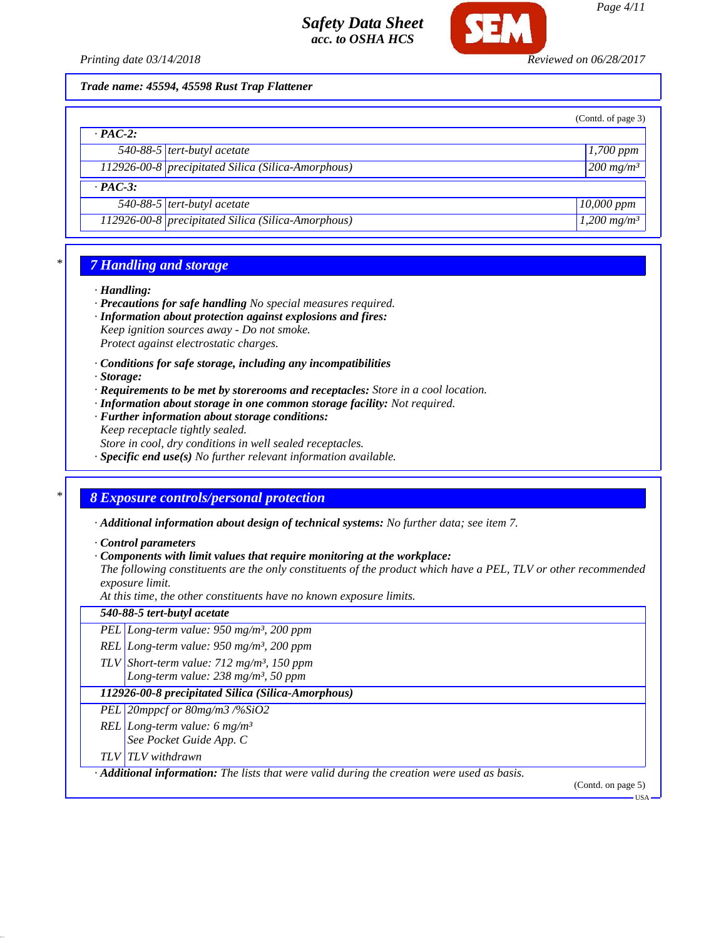



USA

## *Trade name: 45594, 45598 Rust Trap Flattener*

|                |                                                    | (Contd. of page 3)              |
|----------------|----------------------------------------------------|---------------------------------|
| $\cdot$ PAC-2: |                                                    |                                 |
|                | 540-88-5 tert-butyl acetate                        | $\left  \frac{1,700}{1}\right $ |
|                | 112926-00-8 precipitated Silica (Silica-Amorphous) | $200$ mg/m <sup>3</sup>         |
| $\cdot$ PAC-3: |                                                    |                                 |
|                | 540-88-5 $tert$ -butyl acetate                     | $10,000$ ppm                    |
|                | 112926-00-8 precipitated Silica (Silica-Amorphous) | $1,200$ mg/m <sup>3</sup>       |

# *\* 7 Handling and storage*

### *· Handling:*

- *· Precautions for safe handling No special measures required.*
- *· Information about protection against explosions and fires: Keep ignition sources away - Do not smoke. Protect against electrostatic charges.*
- *· Conditions for safe storage, including any incompatibilities*
- *· Storage:*
- *· Requirements to be met by storerooms and receptacles: Store in a cool location.*
- *· Information about storage in one common storage facility: Not required.*
- *· Further information about storage conditions: Keep receptacle tightly sealed.*
- *Store in cool, dry conditions in well sealed receptacles.*
- *· Specific end use(s) No further relevant information available.*

## *\* 8 Exposure controls/personal protection*

*· Additional information about design of technical systems: No further data; see item 7.*

*· Control parameters*

*· Components with limit values that require monitoring at the workplace:*

*The following constituents are the only constituents of the product which have a PEL, TLV or other recommended exposure limit.*

*At this time, the other constituents have no known exposure limits.*

| 540-88-5 tert-butyl acetate                                                                              |
|----------------------------------------------------------------------------------------------------------|
| PEL Long-term value: $950$ mg/m <sup>3</sup> , 200 ppm                                                   |
| REL Long-term value: $950$ mg/m <sup>3</sup> , 200 ppm                                                   |
| TLV Short-term value: $712$ mg/m <sup>3</sup> , 150 ppm                                                  |
| Long-term value: $238$ mg/m <sup>3</sup> , 50 ppm                                                        |
| 112926-00-8 precipitated Silica (Silica-Amorphous)                                                       |
| PEL 20mppcf or 80mg/m3 /%SiO2                                                                            |
| REL Long-term value: 6 mg/m <sup>3</sup>                                                                 |
| See Pocket Guide App. C                                                                                  |
| TLV TLV withdrawn                                                                                        |
| $\cdot$ <b>Additional information:</b> The lists that were valid during the creation were used as basis. |
| (Contd. on page 5)                                                                                       |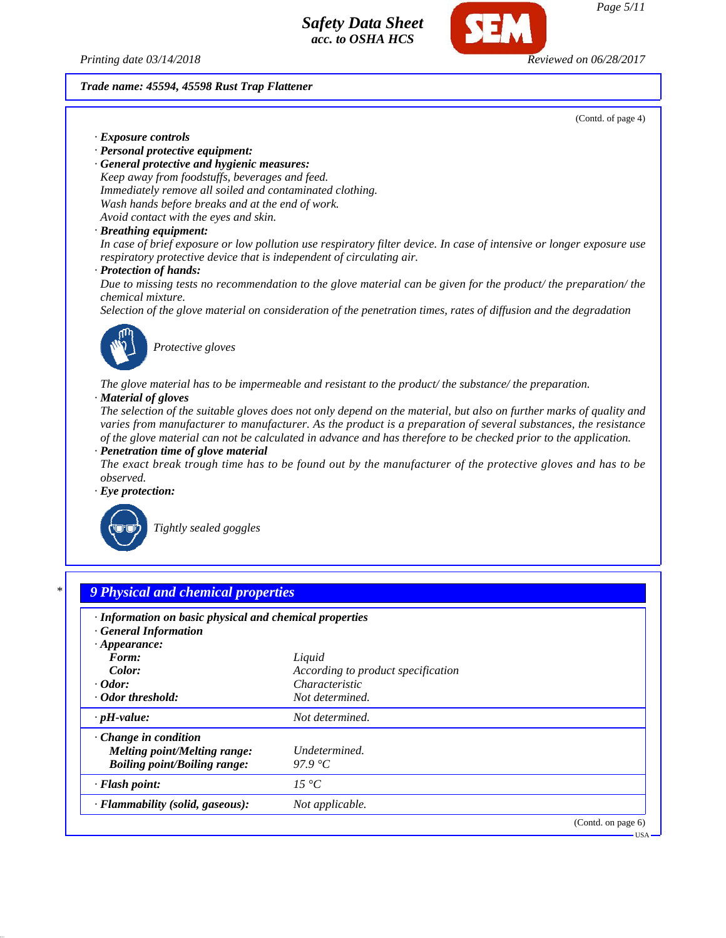*Printing date 03/14/2018 Reviewed on 06/28/2017*

*Trade name: 45594, 45598 Rust Trap Flattener*

(Contd. of page 4)

(Contd. on page 6)

USA

*Page 5/11*

*· Exposure controls*

*· Personal protective equipment:*

*· General protective and hygienic measures: Keep away from foodstuffs, beverages and feed. Immediately remove all soiled and contaminated clothing. Wash hands before breaks and at the end of work. Avoid contact with the eyes and skin.*

### *· Breathing equipment:*

*In case of brief exposure or low pollution use respiratory filter device. In case of intensive or longer exposure use respiratory protective device that is independent of circulating air.*

### *· Protection of hands:*

*Due to missing tests no recommendation to the glove material can be given for the product/ the preparation/ the chemical mixture.*

*Selection of the glove material on consideration of the penetration times, rates of diffusion and the degradation*



*Protective gloves*

*The glove material has to be impermeable and resistant to the product/ the substance/ the preparation.*

### *· Material of gloves*

*The selection of the suitable gloves does not only depend on the material, but also on further marks of quality and varies from manufacturer to manufacturer. As the product is a preparation of several substances, the resistance of the glove material can not be calculated in advance and has therefore to be checked prior to the application. · Penetration time of glove material*

*The exact break trough time has to be found out by the manufacturer of the protective gloves and has to be observed.*

*· Eye protection:*



*Tightly sealed goggles*

*· Flammability (solid, gaseous): Not applicable.*

# *\* 9 Physical and chemical properties · Information on basic physical and chemical properties · General Information · Appearance: Form: Liquid Color: According to product specification · Odor: Characteristic · Odor threshold: Not determined. · pH-value: Not determined. · Change in condition Melting point/Melting range: Undetermined. Boiling point/Boiling range: 97.9 °C · Flash point: 15 °C*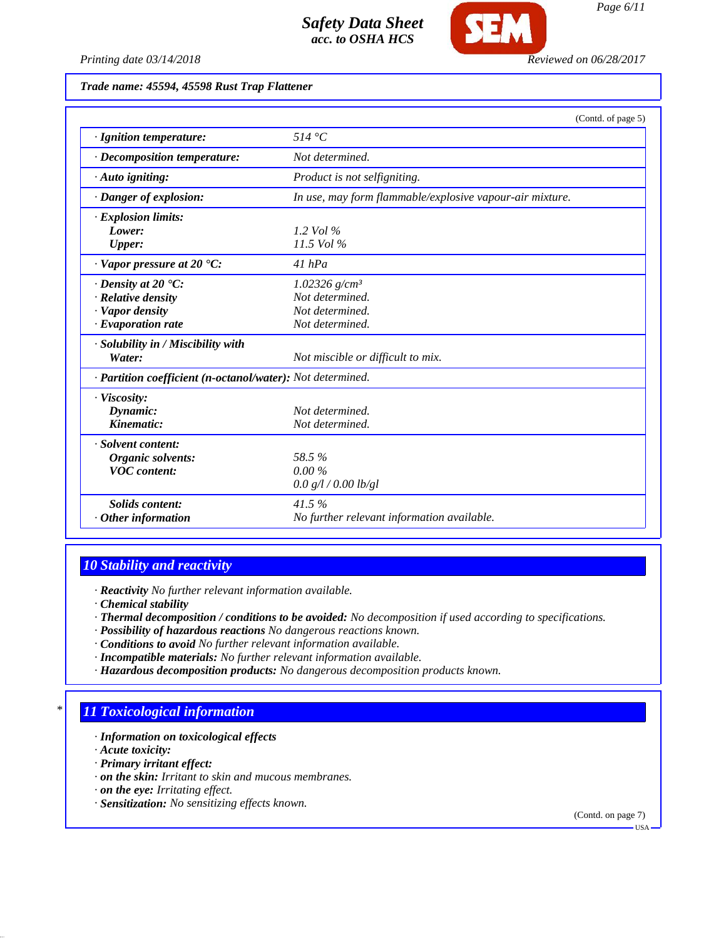

# *Trade name: 45594, 45598 Rust Trap Flattener*

|                                                            | (Contd. of page 5)                                       |
|------------------------------------------------------------|----------------------------------------------------------|
| · Ignition temperature:                                    | 514 °C                                                   |
| · Decomposition temperature:                               | Not determined.                                          |
| $\cdot$ Auto igniting:                                     | Product is not selfigniting.                             |
| · Danger of explosion:                                     | In use, may form flammable/explosive vapour-air mixture. |
| · Explosion limits:                                        |                                                          |
| Lower:                                                     | 1.2 Vol $\%$                                             |
| Upper:                                                     | 11.5 Vol %                                               |
| $\cdot$ Vapor pressure at 20 $\cdot$ C:                    | $41$ hPa                                                 |
| $\cdot$ Density at 20 $\textdegree$ C:                     | $1.02326$ g/cm <sup>3</sup>                              |
| · Relative density                                         | Not determined.                                          |
| · Vapor density                                            | Not determined.                                          |
| $\cdot$ Evaporation rate                                   | Not determined.                                          |
| · Solubility in / Miscibility with                         |                                                          |
| Water:                                                     | Not miscible or difficult to mix.                        |
| · Partition coefficient (n-octanol/water): Not determined. |                                                          |
| · Viscosity:                                               |                                                          |
| Dynamic:                                                   | Not determined.                                          |
| Kinematic:                                                 | Not determined.                                          |
| · Solvent content:                                         |                                                          |
| Organic solvents:                                          | 58.5%                                                    |
| <b>VOC</b> content:                                        | $0.00\%$                                                 |
|                                                            | 0.0 g/l / 0.00 lb/gl                                     |
| <b>Solids content:</b>                                     | 41.5%                                                    |
| $\cdot$ Other information                                  | No further relevant information available.               |

# *10 Stability and reactivity*

*· Reactivity No further relevant information available.*

- *· Chemical stability*
- *· Thermal decomposition / conditions to be avoided: No decomposition if used according to specifications.*
- *· Possibility of hazardous reactions No dangerous reactions known.*
- *· Conditions to avoid No further relevant information available.*
- *· Incompatible materials: No further relevant information available.*
- *· Hazardous decomposition products: No dangerous decomposition products known.*

# *\* 11 Toxicological information*

- *· Information on toxicological effects*
- *· Acute toxicity:*
- *· Primary irritant effect:*
- *· on the skin: Irritant to skin and mucous membranes.*
- *· on the eye: Irritating effect.*
- *· Sensitization: No sensitizing effects known.*

(Contd. on page 7)

 $-<sub>USA</sub>$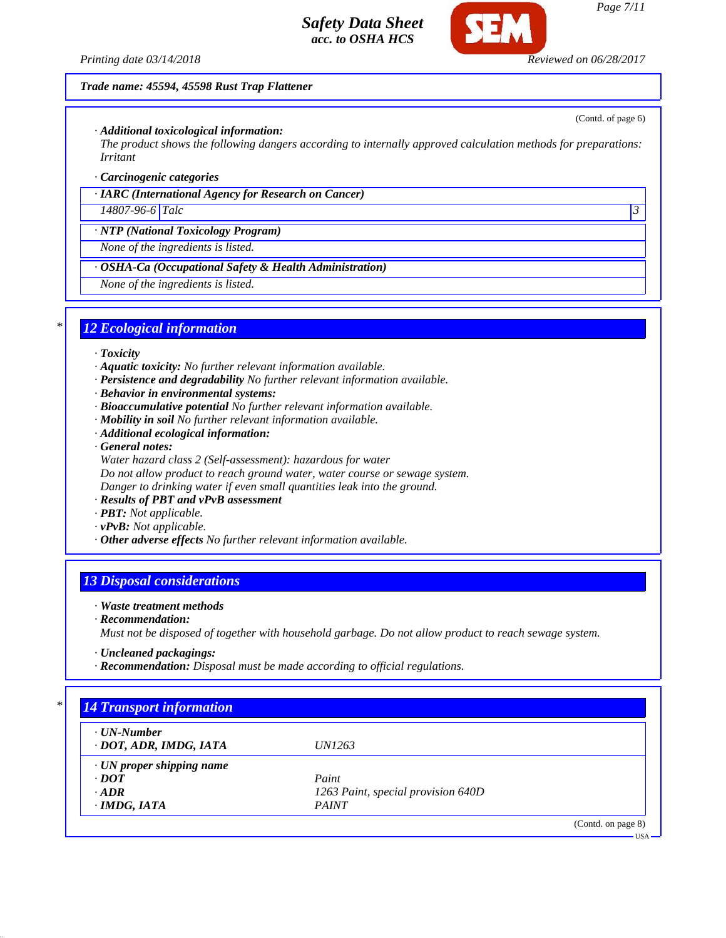*Printing date 03/14/2018 Reviewed on 06/28/2017*

## *Trade name: 45594, 45598 Rust Trap Flattener*

## *· Additional toxicological information:*

*The product shows the following dangers according to internally approved calculation methods for preparations: Irritant*

## *· Carcinogenic categories*

*· IARC (International Agency for Research on Cancer)*

*14807-96-6 Talc 3* 

*· NTP (National Toxicology Program)*

*None of the ingredients is listed.*

*· OSHA-Ca (Occupational Safety & Health Administration)*

*None of the ingredients is listed.*

## *\* 12 Ecological information*

- *· Toxicity*
- *· Aquatic toxicity: No further relevant information available.*
- *· Persistence and degradability No further relevant information available.*
- *· Behavior in environmental systems:*
- *· Bioaccumulative potential No further relevant information available.*
- *· Mobility in soil No further relevant information available.*
- *· Additional ecological information:*
- *· General notes:*
- *Water hazard class 2 (Self-assessment): hazardous for water Do not allow product to reach ground water, water course or sewage system.*

*Danger to drinking water if even small quantities leak into the ground.*

- *· Results of PBT and vPvB assessment*
- *· PBT: Not applicable.*
- *· vPvB: Not applicable.*
- *· Other adverse effects No further relevant information available.*

# *13 Disposal considerations*

## *· Waste treatment methods*

*· Recommendation:*

*Must not be disposed of together with household garbage. Do not allow product to reach sewage system.*

- *· Uncleaned packagings:*
- *· Recommendation: Disposal must be made according to official regulations.*

| $\cdot$ UN-Number               |                                    |  |
|---------------------------------|------------------------------------|--|
| · DOT, ADR, IMDG, IATA          | <i>UN1263</i>                      |  |
| $\cdot$ UN proper shipping name |                                    |  |
| $\cdot$ DOT                     | Paint                              |  |
| $\cdot$ ADR                     | 1263 Paint, special provision 640D |  |
| $\cdot$ IMDG, IATA              | <b>PAINT</b>                       |  |

(Contd. of page 6)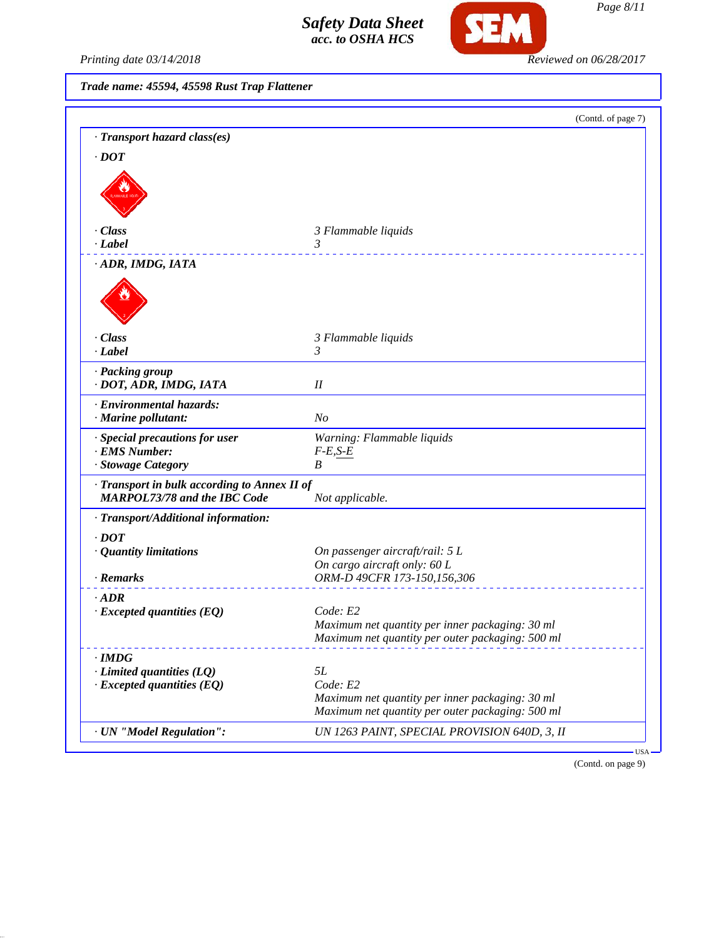

Printing date 03/14/2018 **Reviewed on 06/28/2017** 

*Trade name: 45594, 45598 Rust Trap Flattener*

|                                              | (Contd. of page 7)                                                                                  |
|----------------------------------------------|-----------------------------------------------------------------------------------------------------|
| · Transport hazard class(es)                 |                                                                                                     |
| $\cdot$ DOT                                  |                                                                                                     |
|                                              |                                                                                                     |
|                                              |                                                                                                     |
|                                              |                                                                                                     |
| · Class                                      | 3 Flammable liquids                                                                                 |
| · Label                                      | 3                                                                                                   |
| · ADR, IMDG, IATA                            |                                                                                                     |
|                                              |                                                                                                     |
|                                              |                                                                                                     |
|                                              |                                                                                                     |
|                                              |                                                                                                     |
| · Class<br>· Label                           | 3 Flammable liquids<br>3                                                                            |
|                                              |                                                                                                     |
| · Packing group                              |                                                                                                     |
| · DOT, ADR, IMDG, IATA                       | I                                                                                                   |
| · Environmental hazards:                     |                                                                                                     |
| · Marine pollutant:                          | N <sub>o</sub>                                                                                      |
| · Special precautions for user               | Warning: Flammable liquids                                                                          |
| · EMS Number:                                | $F-E, S-E$                                                                                          |
| · Stowage Category                           | B                                                                                                   |
| · Transport in bulk according to Annex II of |                                                                                                     |
| <b>MARPOL73/78 and the IBC Code</b>          | Not applicable.                                                                                     |
| · Transport/Additional information:          |                                                                                                     |
| $\cdot$ DOT                                  |                                                                                                     |
| · Quantity limitations                       | On passenger aircraft/rail: 5 L                                                                     |
|                                              | On cargo aircraft only: 60 L                                                                        |
| · Remarks                                    | ORM-D 49CFR 173-150,156,306                                                                         |
| $\cdot$ ADR                                  |                                                                                                     |
| $\cdot$ Excepted quantities (EQ)             | Code: E2                                                                                            |
|                                              | Maximum net quantity per inner packaging: 30 ml                                                     |
|                                              | Maximum net quantity per outer packaging: 500 ml                                                    |
| $\cdot$ IMDG                                 |                                                                                                     |
| $\cdot$ Limited quantities (LQ)              | 5L                                                                                                  |
| $\cdot$ Excepted quantities (EQ)             | Code: E2                                                                                            |
|                                              | Maximum net quantity per inner packaging: 30 ml<br>Maximum net quantity per outer packaging: 500 ml |
|                                              |                                                                                                     |
| · UN "Model Regulation":                     | UN 1263 PAINT, SPECIAL PROVISION 640D, 3, II                                                        |

(Contd. on page 9)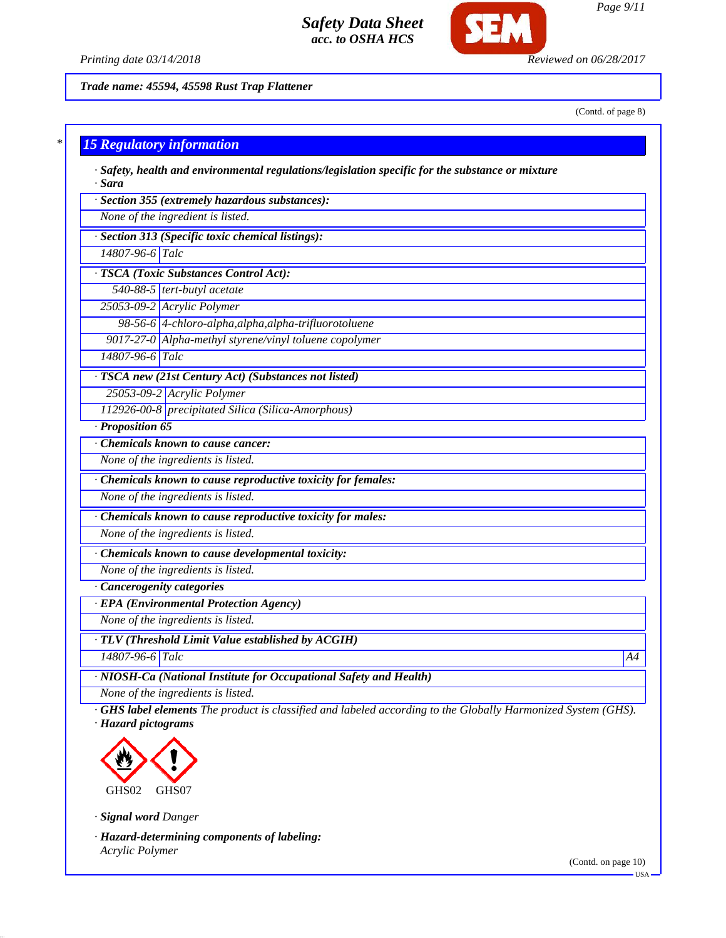

*Printing date 03/14/2018 Reviewed on 06/28/2017*

*Trade name: 45594, 45598 Rust Trap Flattener*

(Contd. of page 8)

*Page 9/11*

# *\* 15 Regulatory information*

*· Safety, health and environmental regulations/legislation specific for the substance or mixture · Sara*

*· Section 355 (extremely hazardous substances):*

*None of the ingredient is listed.*

*· Section 313 (Specific toxic chemical listings):*

*14807-96-6 Talc*

*· TSCA (Toxic Substances Control Act):*

*540-88-5 tert-butyl acetate*

*25053-09-2 Acrylic Polymer 98-56-6 4-chloro-alpha,alpha,alpha-trifluorotoluene*

*9017-27-0 Alpha-methyl styrene/vinyl toluene copolymer*

*14807-96-6 Talc*

*· TSCA new (21st Century Act) (Substances not listed)*

*25053-09-2 Acrylic Polymer*

*112926-00-8 precipitated Silica (Silica-Amorphous)*

*· Proposition 65*

*· Chemicals known to cause cancer:*

*None of the ingredients is listed.*

*· Chemicals known to cause reproductive toxicity for females:*

*None of the ingredients is listed.*

*· Chemicals known to cause reproductive toxicity for males:*

*None of the ingredients is listed.*

*· Chemicals known to cause developmental toxicity:*

*None of the ingredients is listed.*

*· Cancerogenity categories*

*· EPA (Environmental Protection Agency)*

*None of the ingredients is listed.*

*· TLV (Threshold Limit Value established by ACGIH)*

*14807-96-6 Talc A4*

*· NIOSH-Ca (National Institute for Occupational Safety and Health)*

*None of the ingredients is listed.*

*· GHS label elements The product is classified and labeled according to the Globally Harmonized System (GHS). · Hazard pictograms*



*· Signal word Danger*

*· Hazard-determining components of labeling: Acrylic Polymer*

(Contd. on page 10)

USA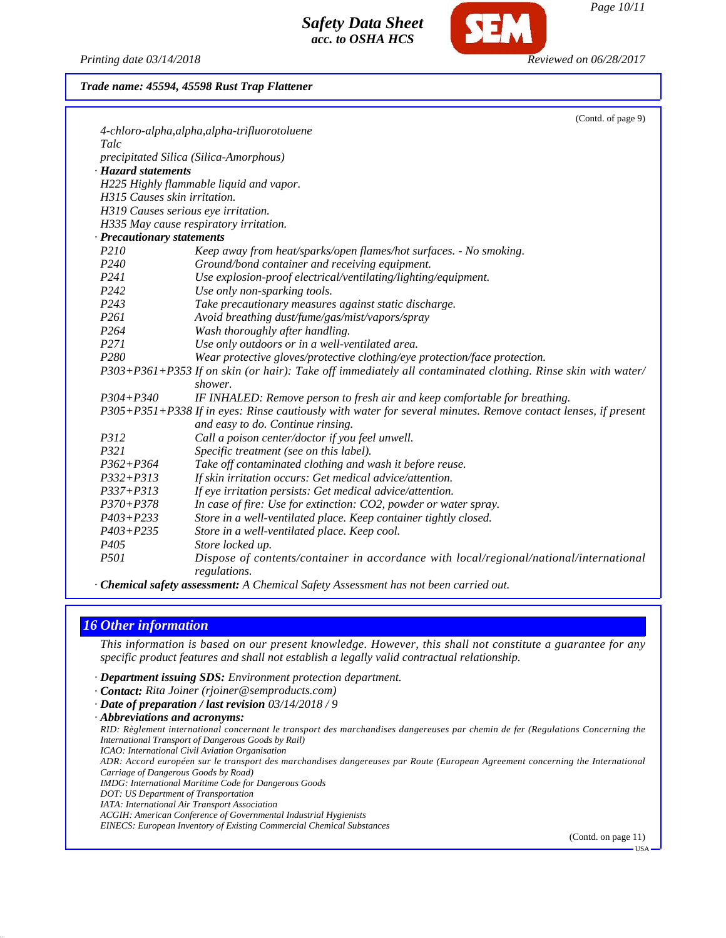*Printing date 03/14/2018 Reviewed on 06/28/2017*

*Page 10/11*

# *Trade name: 45594, 45598 Rust Trap Flattener*

|                              | (Contd. of page 9)                                                                                            |
|------------------------------|---------------------------------------------------------------------------------------------------------------|
|                              | 4-chloro-alpha, alpha, alpha-trifluorotoluene                                                                 |
| Talc                         |                                                                                                               |
|                              | precipitated Silica (Silica-Amorphous)                                                                        |
| <b>Hazard statements</b>     |                                                                                                               |
|                              | H225 Highly flammable liquid and vapor.                                                                       |
| H315 Causes skin irritation. |                                                                                                               |
|                              | H319 Causes serious eye irritation.                                                                           |
|                              | H335 May cause respiratory irritation.                                                                        |
| · Precautionary statements   |                                                                                                               |
| P210                         | Keep away from heat/sparks/open flames/hot surfaces. - No smoking.                                            |
| P <sub>240</sub>             | Ground/bond container and receiving equipment.                                                                |
| P241                         | Use explosion-proof electrical/ventilating/lighting/equipment.                                                |
| P242                         | Use only non-sparking tools.                                                                                  |
| P <sub>243</sub>             | Take precautionary measures against static discharge.                                                         |
| P261                         | Avoid breathing dust/fume/gas/mist/vapors/spray                                                               |
| P <sub>264</sub>             | Wash thoroughly after handling.                                                                               |
| P271                         | Use only outdoors or in a well-ventilated area.                                                               |
| P <sub>280</sub>             | Wear protective gloves/protective clothing/eye protection/face protection.                                    |
|                              | P303+P361+P353 If on skin (or hair): Take off immediately all contaminated clothing. Rinse skin with water/   |
|                              | shower.                                                                                                       |
| $P304 + P340$                | IF INHALED: Remove person to fresh air and keep comfortable for breathing.                                    |
|                              | P305+P351+P338 If in eyes: Rinse cautiously with water for several minutes. Remove contact lenses, if present |
|                              | and easy to do. Continue rinsing.                                                                             |
| P312                         | Call a poison center/doctor if you feel unwell.                                                               |
| P321                         | Specific treatment (see on this label).                                                                       |
| $P362 + P364$                | Take off contaminated clothing and wash it before reuse.                                                      |
| $P332 + P313$                | If skin irritation occurs: Get medical advice/attention.                                                      |
| $P337 + P313$                | If eye irritation persists: Get medical advice/attention.                                                     |
| $P370 + P378$                | In case of fire: Use for extinction: CO2, powder or water spray.                                              |
| $P403 + P233$                | Store in a well-ventilated place. Keep container tightly closed.                                              |
| $P403 + P235$                | Store in a well-ventilated place. Keep cool.                                                                  |
| P <sub>405</sub>             | Store locked up.                                                                                              |
| P501                         | Dispose of contents/container in accordance with local/regional/national/international                        |
|                              | regulations.                                                                                                  |
|                              | <b>Chemical safety assessment:</b> A Chemical Safety Assessment has not been carried out.                     |

# *16 Other information*

*This information is based on our present knowledge. However, this shall not constitute a guarantee for any specific product features and shall not establish a legally valid contractual relationship.*

- *· Department issuing SDS: Environment protection department.*
- *· Contact: Rita Joiner (rjoiner@semproducts.com)*
- *· Date of preparation / last revision 03/14/2018 / 9*
- *· Abbreviations and acronyms:*

*RID: Règlement international concernant le transport des marchandises dangereuses par chemin de fer (Regulations Concerning the International Transport of Dangerous Goods by Rail)*

*ICAO: International Civil Aviation Organisation*

*ADR: Accord européen sur le transport des marchandises dangereuses par Route (European Agreement concerning the International Carriage of Dangerous Goods by Road)*

*IMDG: International Maritime Code for Dangerous Goods*

*DOT: US Department of Transportation*

*IATA: International Air Transport Association*

*ACGIH: American Conference of Governmental Industrial Hygienists*

*EINECS: European Inventory of Existing Commercial Chemical Substances*

(Contd. on page 11)